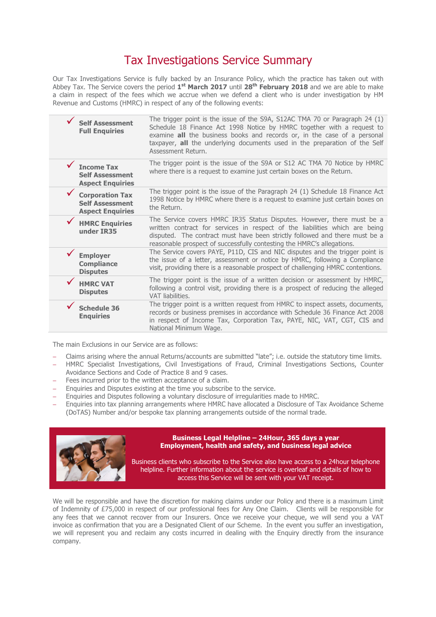# Tax Investigations Service Summary

Our Tax Investigations Service is fully backed by an Insurance Policy, which the practice has taken out with Abbey Tax. The Service covers the period  $1<sup>st</sup>$  March 2017 until 28<sup>th</sup> February 2018 and we are able to make a claim in respect of the fees which we accrue when we defend a client who is under investigation by HM Revenue and Customs (HMRC) in respect of any of the following events:

| <b>Self Assessment</b><br><b>Full Enquiries</b>                             | The trigger point is the issue of the S9A, S12AC TMA 70 or Paragraph 24 (1)<br>Schedule 18 Finance Act 1998 Notice by HMRC together with a request to<br>examine all the business books and records or, in the case of a personal<br>taxpayer, all the underlying documents used in the preparation of the Self<br>Assessment Return. |
|-----------------------------------------------------------------------------|---------------------------------------------------------------------------------------------------------------------------------------------------------------------------------------------------------------------------------------------------------------------------------------------------------------------------------------|
| <b>Income Tax</b><br><b>Self Assessment</b><br><b>Aspect Enquiries</b>      | The trigger point is the issue of the S9A or S12 AC TMA 70 Notice by HMRC<br>where there is a request to examine just certain boxes on the Return.                                                                                                                                                                                    |
| <b>Corporation Tax</b><br><b>Self Assessment</b><br><b>Aspect Enquiries</b> | The trigger point is the issue of the Paragraph 24 (1) Schedule 18 Finance Act<br>1998 Notice by HMRC where there is a request to examine just certain boxes on<br>the Return.                                                                                                                                                        |
| <b>HMRC Enquiries</b><br>under IR35                                         | The Service covers HMRC IR35 Status Disputes. However, there must be a<br>written contract for services in respect of the liabilities which are being<br>disputed. The contract must have been strictly followed and there must be a<br>reasonable prospect of successfully contesting the HMRC's allegations.                        |
| <b>Employer</b><br><b>Compliance</b><br><b>Disputes</b>                     | The Service covers PAYE, P11D, CIS and NIC disputes and the trigger point is<br>the issue of a letter, assessment or notice by HMRC, following a Compliance<br>visit, providing there is a reasonable prospect of challenging HMRC contentions.                                                                                       |
| <b>HMRC VAT</b><br><b>Disputes</b>                                          | The trigger point is the issue of a written decision or assessment by HMRC,<br>following a control visit, providing there is a prospect of reducing the alleged<br>VAT liabilities.                                                                                                                                                   |
| <b>Schedule 36</b><br><b>Enquiries</b>                                      | The trigger point is a written request from HMRC to inspect assets, documents,<br>records or business premises in accordance with Schedule 36 Finance Act 2008<br>in respect of Income Tax, Corporation Tax, PAYE, NIC, VAT, CGT, CIS and<br>National Minimum Wage.                                                                   |

The main Exclusions in our Service are as follows:

- − Claims arising where the annual Returns/accounts are submitted "late"; i.e. outside the statutory time limits.
- − HMRC Specialist Investigations, Civil Investigations of Fraud, Criminal Investigations Sections, Counter Avoidance Sections and Code of Practice 8 and 9 cases.
- Fees incurred prior to the written acceptance of a claim.
- Enquiries and Disputes existing at the time you subscribe to the service.
- − Enquiries and Disputes following a voluntary disclosure of irregularities made to HMRC.
- − Enquiries into tax planning arrangements where HMRC have allocated a Disclosure of Tax Avoidance Scheme (DoTAS) Number and/or bespoke tax planning arrangements outside of the normal trade.



Business Legal Helpline – 24Hour, 365 days a year Employment, health and safety, and business legal advice

Business clients who subscribe to the Service also have access to a 24hour telephone helpline. Further information about the service is overleaf and details of how to access this Service will be sent with your VAT receipt.

We will be responsible and have the discretion for making claims under our Policy and there is a maximum Limit of Indemnity of £75,000 in respect of our professional fees for Any One Claim. Clients will be responsible for any fees that we cannot recover from our Insurers. Once we receive your cheque, we will send you a VAT invoice as confirmation that you are a Designated Client of our Scheme. In the event you suffer an investigation, we will represent you and reclaim any costs incurred in dealing with the Enquiry directly from the insurance company.